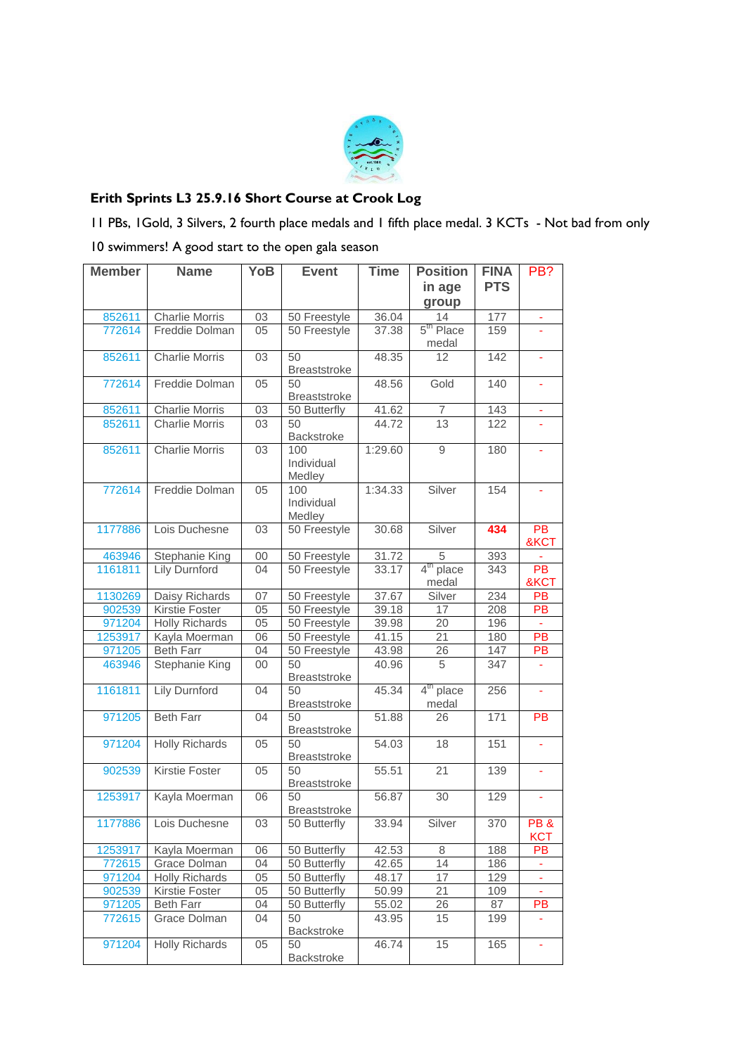

## **Erith Sprints L3 25.9.16 Short Course at Crook Log**

11 PBs, 1Gold, 3 Silvers, 2 fourth place medals and 1 fifth place medal. 3 KCTs - Not bad from only 10 swimmers! A good start to the open gala season

| <b>Member</b> | <b>Name</b>           | <b>YoB</b> | <b>Event</b>                | <b>Time</b> | <b>Position</b>                   | <b>FINA</b> | PB?               |
|---------------|-----------------------|------------|-----------------------------|-------------|-----------------------------------|-------------|-------------------|
|               |                       |            |                             |             | in age                            | <b>PTS</b>  |                   |
|               |                       |            |                             |             | group                             |             |                   |
| 852611        | <b>Charlie Morris</b> | 03         | 50 Freestyle                | 36.04       | 14<br>5 <sup>th</sup> Place       | 177<br>159  | ÷,                |
| 772614        | Freddie Dolman        | 05         | 50 Freestyle                | 37.38       | medal                             |             |                   |
| 852611        | <b>Charlie Morris</b> | 03         | 50<br><b>Breaststroke</b>   | 48.35       | 12                                | 142         |                   |
| 772614        | Freddie Dolman        | 05         | 50<br><b>Breaststroke</b>   | 48.56       | Gold                              | 140         | ÷,                |
| 852611        | <b>Charlie Morris</b> | 03         | 50 Butterfly                | 41.62       | $\overline{7}$                    | 143         | ä,                |
| 852611        | <b>Charlie Morris</b> | 03         | 50<br>Backstroke            | 44.72       | 13                                | 122         |                   |
| 852611        | <b>Charlie Morris</b> | 03         | 100<br>Individual<br>Medley | 1:29.60     | 9                                 | 180         | ÷,                |
| 772614        | Freddie Dolman        | 05         | 100<br>Individual<br>Medley | 1:34.33     | Silver                            | 154         | ÷,                |
| 1177886       | Lois Duchesne         | 03         | 50 Freestyle                | 30.68       | Silver                            | 434         | PB<br>&KCT        |
| 463946        | Stephanie King        | 00         | 50 Freestyle                | 31.72       | 5                                 | 393         |                   |
| 1161811       | <b>Lily Durnford</b>  | 04         | 50 Freestyle                | 33.17       | 4 <sup>th</sup><br>place<br>medal | 343         | PB<br>&KCT        |
| 1130269       | Daisy Richards        | 07         | 50 Freestyle                | 37.67       | Silver                            | 234         | PB                |
| 902539        | <b>Kirstie Foster</b> | 05         | 50 Freestyle                | 39.18       | 17                                | 208         | PB                |
| 971204        | <b>Holly Richards</b> | 05         | 50 Freestyle                | 39.98       | 20                                | 196         | $\blacksquare$    |
| 1253917       | Kayla Moerman         | 06         | 50 Freestyle                | 41.15       | 21                                | 180         | PB                |
| 971205        | <b>Beth Farr</b>      | 04         | 50 Freestyle                | 43.98       | 26                                | 147         | PB                |
| 463946        | Stephanie King        | 00         | 50<br>Breaststroke          | 40.96       | 5                                 | 347         |                   |
| 1161811       | <b>Lily Durnford</b>  | 04         | 50<br>Breaststroke          | 45.34       | 4 <sup>th</sup> place<br>medal    | 256         | Ξ                 |
| 971205        | <b>Beth Farr</b>      | 04         | 50<br><b>Breaststroke</b>   | 51.88       | 26                                | 171         | <b>PB</b>         |
| 971204        | <b>Holly Richards</b> | 05         | 50<br>Breaststroke          | 54.03       | 18                                | 151         | ÷,                |
| 902539        | Kirstie Foster        | 05         | 50<br><b>Breaststroke</b>   | 55.51       | $\overline{21}$                   | 139         |                   |
| 1253917       | Kayla Moerman         | 06         | 50<br><b>Breaststroke</b>   | 56.87       | 30                                | 129         | ÷,                |
| 1177886       | Lois Duchesne         | 03         | 50 Butterfly                | 33.94       | Silver                            | 370         | PB&<br><b>KCT</b> |
| 1253917       | Kayla Moerman         | 06         | 50 Butterfly                | 42.53       | 8                                 | 188         | PB                |
| 772615        | Grace Dolman          | 04         | 50 Butterfly                | 42.65       | 14                                | 186         | ۳                 |
| 971204        | Holly Richards        | 05         | 50 Butterfly                | 48.17       | 17                                | 129         | ۰                 |
| 902539        | Kirstie Foster        | 05         | 50 Butterfly                | 50.99       | 21                                | 109         | ÷,                |
| 971205        | <b>Beth Farr</b>      | 04         | 50 Butterfly                | 55.02       | 26                                | 87          | PB                |
| 772615        | Grace Dolman          | 04         | 50<br>Backstroke            | 43.95       | 15                                | 199         |                   |
| 971204        | <b>Holly Richards</b> | 05         | 50<br>Backstroke            | 46.74       | 15                                | 165         |                   |